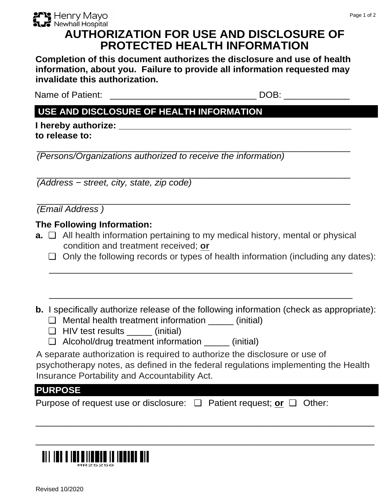

# **AUTHORIZATION FOR USE AND DISCLOSURE OF PROTECTED HEALTH INFORMATION**

Completion of this document authorizes the disclosure and use of health information, about you. Failure to provide all information requested may invalidate this authorization.

Name of Patient: \_\_\_\_\_\_

DOB: the contract of the contract of the contract of the contract of the contract of the contract of the contract of the contract of the contract of the contract of the contract of the contract of the contract of the contr

### USE AND DISCLOSURE OF HEALTH INFORMATION

I hereby authorize: **All any Services** and Theorem and Theorem and Theorem and Theorem and Theorem and Theorem and Theorem and Theorem and Theorem and Theorem and Theorem and Theorem and Theorem and Theorem and Theorem and to release to:

(Persons/Organizations authorized to receive the information)

(Address - street, city, state, zip code)

(Email Address)

#### The Following Information:

- **a.**  $\Box$  All health information pertaining to my medical history, mental or physical condition and treatment received; or
	- $\Box$  Only the following records or types of health information (including any dates):
- **b.** I specifically authorize release of the following information (check as appropriate):
	- $\Box$  Mental health treatment information (initial)
	- HIV test results \_\_\_\_\_\_\_ (initial)
	- $\Box$  Alcohol/drug treatment information (initial)

A separate authorization is required to authorize the disclosure or use of psychotherapy notes, as defined in the federal regulations implementing the Health Insurance Portability and Accountability Act.

## **PURPOSE**

| Purpose of request use or disclosure: $\Box$ Patient request; or $\Box$ Other: |  |  |
|--------------------------------------------------------------------------------|--|--|
|--------------------------------------------------------------------------------|--|--|